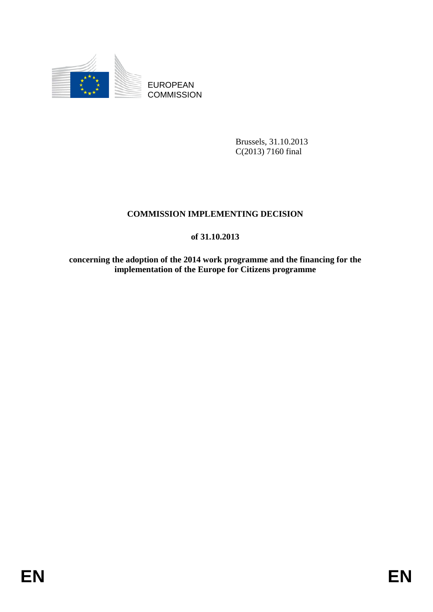

EUROPEAN **COMMISSION** 

> Brussels, 31.10.2013 C(2013) 7160 final

## **COMMISSION IMPLEMENTING DECISION**

## **of 31.10.2013**

**concerning the adoption of the 2014 work programme and the financing for the implementation of the Europe for Citizens programme**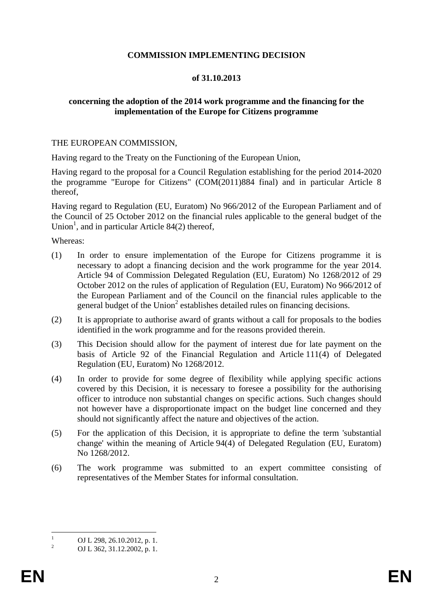#### **COMMISSION IMPLEMENTING DECISION**

#### **of 31.10.2013**

#### <span id="page-1-0"></span>**concerning the adoption of the 2014 work programme and the financing for the implementation of the Europe for Citizens programme**

#### THE EUROPEAN COMMISSION,

Having regard to the Treaty on the Functioning of the European Union,

Having regard to the proposal for a Council Regulation establishing for the period 2014-2020 the programme "Europe for Citizens" (COM(2011)884 final) and in particular Article 8 thereof,

Having regard to Regulation (EU, Euratom) No 966/2012 of the European Parliament and of the Council of 25 October 2012 on the financial rules applicable to the general budget of the Union<sup>1</sup>, and in particular Article 84(2) thereof,

Whereas:

- (1) In order to ensure implementation of the Europe for Citizens programme it is necessary to adopt a financing decision and the work programme for the year 2014. Article 94 of Commission Delegated Regulation (EU, Euratom) No 1268/2012 of 29 October 2012 on the rules of application of Regulation (EU, Euratom) No 966/2012 of the European Parliament and of the Council on the financial rules applicable to the general budget of the Union<sup>2</sup> establishes detailed rules on financing decisions.
- (2) It is appropriate to authorise award of grants without a call for proposals to the bodies identified in the work programme and for the reasons provided therein.
- (3) This Decision should allow for the payment of interest due for late payment on the basis of Article 92 of the Financial Regulation and Article 111(4) of Delegated Regulation (EU, Euratom) No 1268/2012.
- (4) In order to provide for some degree of flexibility while applying specific actions covered by this Decision, it is necessary to foresee a possibility for the authorising officer to introduce non substantial changes on specific actions. Such changes should not however have a disproportionate impact on the budget line concerned and they should not significantly affect the nature and objectives of the action.
- (5) For the application of this Decision, it is appropriate to define the term 'substantial change' within the meaning of Article 94(4) of Delegated Regulation (EU, Euratom) No 1268/2012.
- (6) The work programme was submitted to an expert committee consisting of representatives of the Member States for informal consultation.

 $\frac{1}{1}$ OJ L 298, 26.10.2012, p. 1.

<sup>2</sup> OJ L 362, 31.12.2002, p. 1.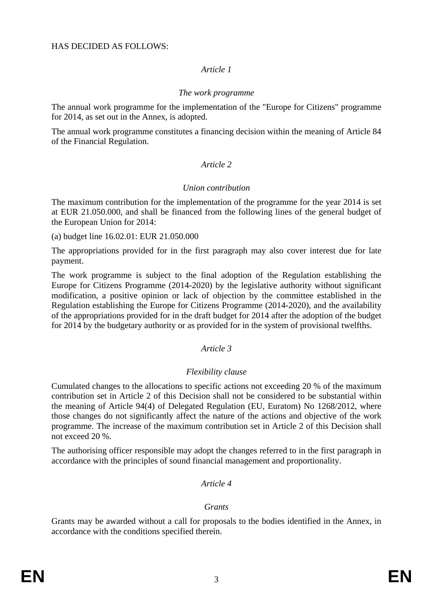## *Article 1*

## *The work programme*

The annual work programme for the implementation of the "Europe for Citizens" programme for 2014, as set out in the Annex, is adopted.

The annual work programme constitutes a financing decision within the meaning of Article 84 of the Financial Regulation.

## *Article 2*

## *Union contribution*

The maximum contribution for the implementation of the programme for the year 2014 is set at EUR 21.050.000, and shall be financed from the following lines of the general budget of the European Union for 2014:

(a) budget line 16.02.01: EUR 21.050.000

The appropriations provided for in the first paragraph may also cover interest due for late payment.

The work programme is subject to the final adoption of the Regulation establishing the Europe for Citizens Programme (2014-2020) by the legislative authority without significant modification, a positive opinion or lack of objection by the committee established in the Regulation establishing the Europe for Citizens Programme (2014-2020), and the availability of the appropriations provided for in the draft budget for 2014 after the adoption of the budget for 2014 by the budgetary authority or as provided for in the system of provisional twelfths.

## *Article 3*

## *Flexibility clause*

Cumulated changes to the allocations to specific actions not exceeding 20 % of the maximum contribution set in Article 2 of this Decision shall not be considered to be substantial within the meaning of Article 94(4) of Delegated Regulation (EU, Euratom) No 1268/2012, where those changes do not significantly affect the nature of the actions and objective of the work programme. The increase of the maximum contribution set in Article 2 of this Decision shall not exceed 20 %.

The authorising officer responsible may adopt the changes referred to in the first paragraph in accordance with the principles of sound financial management and proportionality.

## *Article 4*

## *Grants*

Grants may be awarded without a call for proposals to the bodies identified in the Annex, in accordance with the conditions specified therein.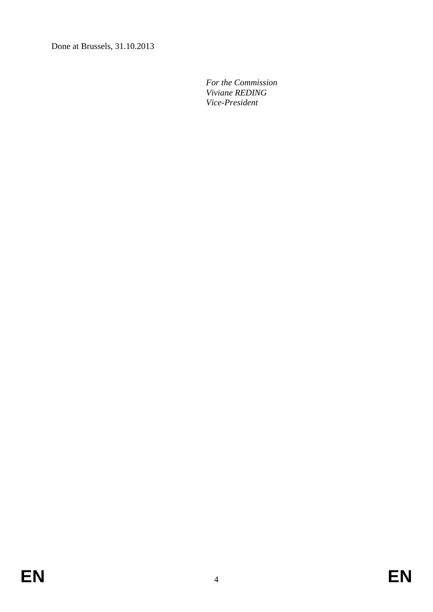Done at Brussels, 31.10.2013

 *For the Commission Viviane REDING Vice-President*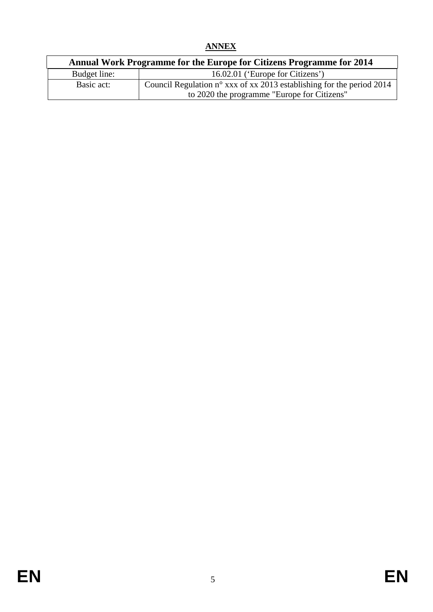# **ANNEX**

<span id="page-4-0"></span>

|              | Annual Work Programme for the Europe for Citizens Programme for 2014           |  |  |  |  |  |
|--------------|--------------------------------------------------------------------------------|--|--|--|--|--|
| Budget line: | 16.02.01 ('Europe for Citizens')                                               |  |  |  |  |  |
| Basic act:   | Council Regulation $n^{\circ}$ xxx of xx 2013 establishing for the period 2014 |  |  |  |  |  |
|              | to 2020 the programme "Europe for Citizens"                                    |  |  |  |  |  |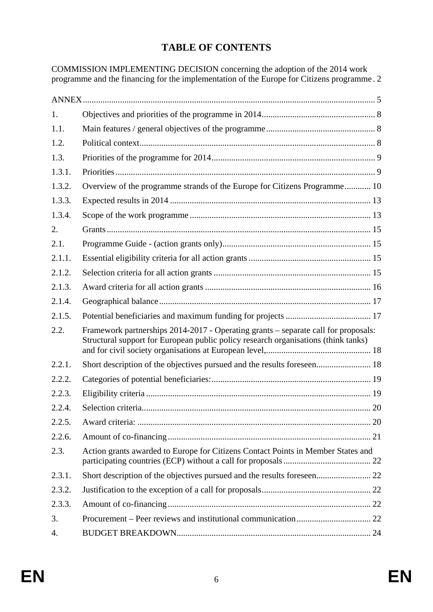# **TABLE OF CONTENTS**

COMMISSION IMPLEMENTING DECISION concerning the adoption of the 2014 work programme and the financing for the implementation of the Europe for Citizens programme [. 2](#page-1-0) 

| 1.     |                                                                                                                                                                          |  |
|--------|--------------------------------------------------------------------------------------------------------------------------------------------------------------------------|--|
| 1.1.   |                                                                                                                                                                          |  |
| 1.2.   |                                                                                                                                                                          |  |
| 1.3.   |                                                                                                                                                                          |  |
| 1.3.1. |                                                                                                                                                                          |  |
| 1.3.2. | Overview of the programme strands of the Europe for Citizens Programme 10                                                                                                |  |
| 1.3.3. |                                                                                                                                                                          |  |
| 1.3.4. |                                                                                                                                                                          |  |
| 2.     |                                                                                                                                                                          |  |
| 2.1.   |                                                                                                                                                                          |  |
| 2.1.1. |                                                                                                                                                                          |  |
| 2.1.2. |                                                                                                                                                                          |  |
| 2.1.3. |                                                                                                                                                                          |  |
| 2.1.4. |                                                                                                                                                                          |  |
| 2.1.5. |                                                                                                                                                                          |  |
| 2.2.   | Framework partnerships 2014-2017 - Operating grants - separate call for proposals:<br>Structural support for European public policy research organisations (think tanks) |  |
| 2.2.1. | Short description of the objectives pursued and the results foreseen 18                                                                                                  |  |
| 2.2.2. |                                                                                                                                                                          |  |
| 2.2.3. |                                                                                                                                                                          |  |
| 2.2.4. |                                                                                                                                                                          |  |
| 2.2.5. |                                                                                                                                                                          |  |
| 2.2.6. |                                                                                                                                                                          |  |
| 2.3.   | Action grants awarded to Europe for Citizens Contact Points in Member States and                                                                                         |  |
| 2.3.1. |                                                                                                                                                                          |  |
| 2.3.2. |                                                                                                                                                                          |  |
| 2.3.3. |                                                                                                                                                                          |  |
| 3.     |                                                                                                                                                                          |  |
| 4.     |                                                                                                                                                                          |  |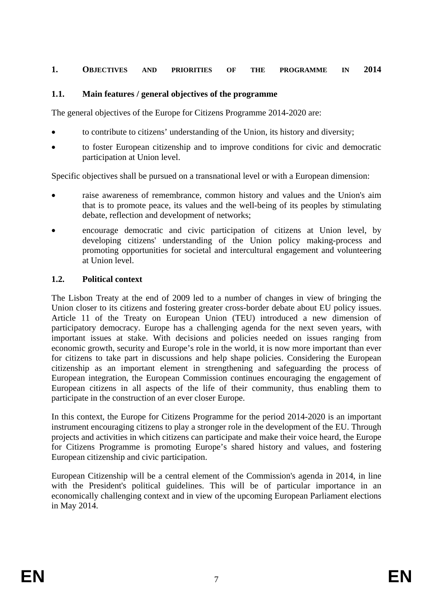#### <span id="page-6-0"></span>**1. OBJECTIVES AND PRIORITIES OF THE PROGRAMME IN 2014**

#### <span id="page-6-1"></span>**1.1. Main features / general objectives of the programme**

The general objectives of the Europe for Citizens Programme 2014-2020 are:

- to contribute to citizens' understanding of the Union, its history and diversity;
- to foster European citizenship and to improve conditions for civic and democratic participation at Union level.

Specific objectives shall be pursued on a transnational level or with a European dimension:

- raise awareness of remembrance, common history and values and the Union's aim that is to promote peace, its values and the well-being of its peoples by stimulating debate, reflection and development of networks;
- encourage democratic and civic participation of citizens at Union level, by developing citizens' understanding of the Union policy making-process and promoting opportunities for societal and intercultural engagement and volunteering at Union level.

#### <span id="page-6-2"></span>**1.2. Political context**

The Lisbon Treaty at the end of 2009 led to a number of changes in view of bringing the Union closer to its citizens and fostering greater cross-border debate about EU policy issues. Article 11 of the Treaty on European Union (TEU) introduced a new dimension of participatory democracy. Europe has a challenging agenda for the next seven years, with important issues at stake. With decisions and policies needed on issues ranging from economic growth, security and Europe's role in the world, it is now more important than ever for citizens to take part in discussions and help shape policies. Considering the European citizenship as an important element in strengthening and safeguarding the process of European integration, the European Commission continues encouraging the engagement of European citizens in all aspects of the life of their community, thus enabling them to participate in the construction of an ever closer Europe.

In this context, the Europe for Citizens Programme for the period 2014-2020 is an important instrument encouraging citizens to play a stronger role in the development of the EU. Through projects and activities in which citizens can participate and make their voice heard, the Europe for Citizens Programme is promoting Europe's shared history and values, and fostering European citizenship and civic participation.

European Citizenship will be a central element of the Commission's agenda in 2014, in line with the President's political guidelines. This will be of particular importance in an economically challenging context and in view of the upcoming European Parliament elections in May 2014.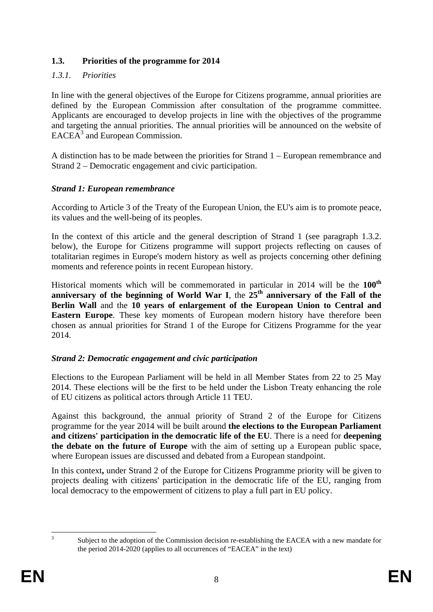## <span id="page-7-0"></span>**1.3. Priorities of the programme for 2014**

## <span id="page-7-1"></span>*1.3.1. Priorities*

In line with the general objectives of the Europe for Citizens programme, annual priorities are defined by the European Commission after consultation of the programme committee. Applicants are encouraged to develop projects in line with the objectives of the programme and targeting the annual priorities. The annual priorities will be announced on the website of EACEA<sup>3</sup> and European Commission.

A distinction has to be made between the priorities for Strand 1 – European remembrance and Strand 2 – Democratic engagement and civic participation.

## *Strand 1: European remembrance*

According to Article 3 of the Treaty of the European Union, the EU's aim is to promote peace, its values and the well-being of its peoples.

In the context of this article and the general description of Strand 1 (see paragraph 1.3.2. below), the Europe for Citizens programme will support projects reflecting on causes of totalitarian regimes in Europe's modern history as well as projects concerning other defining moments and reference points in recent European history.

Historical moments which will be commemorated in particular in 2014 will be the **100th** anniversary of the beginning of World War I, the  $25<sup>th</sup>$  anniversary of the Fall of the **Berlin Wall** and the **10 years of enlargement of the European Union to Central and Eastern Europe**. These key moments of European modern history have therefore been chosen as annual priorities for Strand 1 of the Europe for Citizens Programme for the year 2014.

## *Strand 2: Democratic engagement and civic participation*

Elections to the European Parliament will be held in all Member States from 22 to 25 May 2014. These elections will be the first to be held under the Lisbon Treaty enhancing the role of EU citizens as political actors through Article 11 TEU.

Against this background, the annual priority of Strand 2 of the Europe for Citizens programme for the year 2014 will be built around **the elections to the European Parliament and citizens' participation in the democratic life of the EU**. There is a need for **deepening the debate on the future of Europe** with the aim of setting up a European public space, where European issues are discussed and debated from a European standpoint.

In this context**,** under Strand 2 of the Europe for Citizens Programme priority will be given to projects dealing with citizens' participation in the democratic life of the EU, ranging from local democracy to the empowerment of citizens to play a full part in EU policy.

 $\frac{1}{3}$ 

Subject to the adoption of the Commission decision re-establishing the EACEA with a new mandate for the period 2014-2020 (applies to all occurrences of "EACEA" in the text)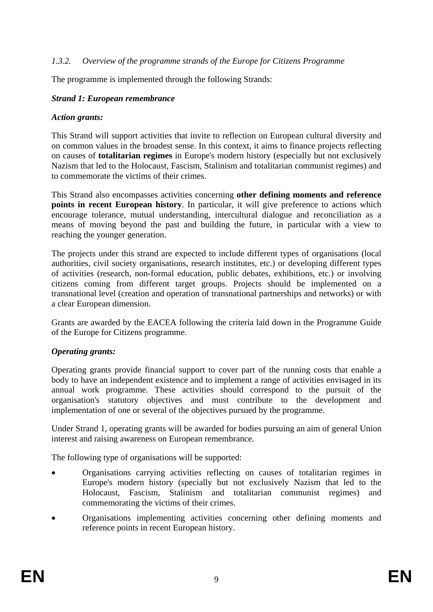#### <span id="page-8-0"></span>*1.3.2. Overview of the programme strands of the Europe for Citizens Programme*

The programme is implemented through the following Strands:

#### *Strand 1: European remembrance*

#### *Action grants:*

This Strand will support activities that invite to reflection on European cultural diversity and on common values in the broadest sense. In this context, it aims to finance projects reflecting on causes of **totalitarian regimes** in Europe's modern history (especially but not exclusively Nazism that led to the Holocaust, Fascism, Stalinism and totalitarian communist regimes) and to commemorate the victims of their crimes.

This Strand also encompasses activities concerning **other defining moments and reference points in recent European history**. In particular, it will give preference to actions which encourage tolerance, mutual understanding, intercultural dialogue and reconciliation as a means of moving beyond the past and building the future, in particular with a view to reaching the younger generation.

The projects under this strand are expected to include different types of organisations (local authorities, civil society organisations, research institutes, etc.) or developing different types of activities (research, non-formal education, public debates, exhibitions, etc.) or involving citizens coming from different target groups. Projects should be implemented on a transnational level (creation and operation of transnational partnerships and networks) or with a clear European dimension.

Grants are awarded by the EACEA following the criteria laid down in the Programme Guide of the Europe for Citizens programme.

## *Operating grants:*

Operating grants provide financial support to cover part of the running costs that enable a body to have an independent existence and to implement a range of activities envisaged in its annual work programme. These activities should correspond to the pursuit of the organisation's statutory objectives and must contribute to the development and implementation of one or several of the objectives pursued by the programme.

Under Strand 1, operating grants will be awarded for bodies pursuing an aim of general Union interest and raising awareness on European remembrance.

The following type of organisations will be supported:

- Organisations carrying activities reflecting on causes of totalitarian regimes in Europe's modern history (specially but not exclusively Nazism that led to the Holocaust, Fascism, Stalinism and totalitarian communist regimes) and commemorating the victims of their crimes.
- Organisations implementing activities concerning other defining moments and reference points in recent European history.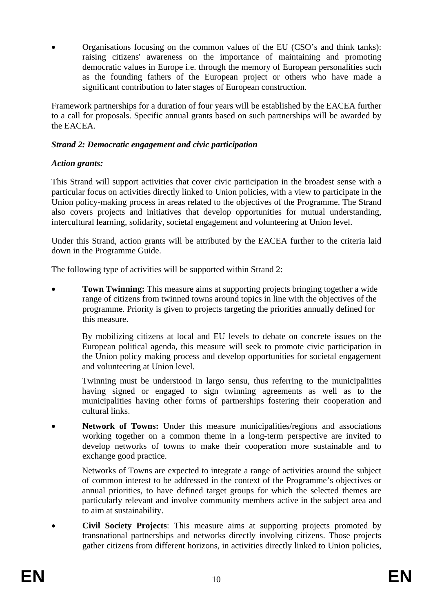• Organisations focusing on the common values of the EU (CSO's and think tanks): raising citizens' awareness on the importance of maintaining and promoting democratic values in Europe i.e. through the memory of European personalities such as the founding fathers of the European project or others who have made a significant contribution to later stages of European construction.

Framework partnerships for a duration of four years will be established by the EACEA further to a call for proposals. Specific annual grants based on such partnerships will be awarded by the EACEA.

## *Strand 2: Democratic engagement and civic participation*

## *Action grants:*

This Strand will support activities that cover civic participation in the broadest sense with a particular focus on activities directly linked to Union policies, with a view to participate in the Union policy-making process in areas related to the objectives of the Programme. The Strand also covers projects and initiatives that develop opportunities for mutual understanding, intercultural learning, solidarity, societal engagement and volunteering at Union level.

Under this Strand, action grants will be attributed by the EACEA further to the criteria laid down in the Programme Guide.

The following type of activities will be supported within Strand 2:

**Town Twinning:** This measure aims at supporting projects bringing together a wide range of citizens from twinned towns around topics in line with the objectives of the programme. Priority is given to projects targeting the priorities annually defined for this measure.

 By mobilizing citizens at local and EU levels to debate on concrete issues on the European political agenda, this measure will seek to promote civic participation in the Union policy making process and develop opportunities for societal engagement and volunteering at Union level.

 Twinning must be understood in largo sensu, thus referring to the municipalities having signed or engaged to sign twinning agreements as well as to the municipalities having other forms of partnerships fostering their cooperation and cultural links.

**Network of Towns:** Under this measure municipalities/regions and associations working together on a common theme in a long-term perspective are invited to develop networks of towns to make their cooperation more sustainable and to exchange good practice.

 Networks of Towns are expected to integrate a range of activities around the subject of common interest to be addressed in the context of the Programme's objectives or annual priorities, to have defined target groups for which the selected themes are particularly relevant and involve community members active in the subject area and to aim at sustainability.

• **Civil Society Projects**: This measure aims at supporting projects promoted by transnational partnerships and networks directly involving citizens. Those projects gather citizens from different horizons, in activities directly linked to Union policies,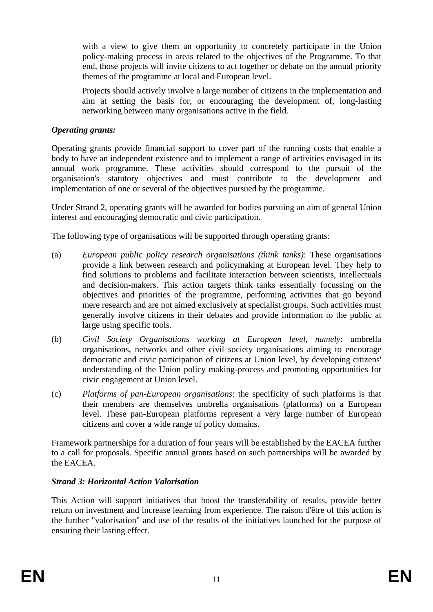with a view to give them an opportunity to concretely participate in the Union policy-making process in areas related to the objectives of the Programme. To that end, those projects will invite citizens to act together or debate on the annual priority themes of the programme at local and European level.

 Projects should actively involve a large number of citizens in the implementation and aim at setting the basis for, or encouraging the development of, long-lasting networking between many organisations active in the field.

#### *Operating grants:*

Operating grants provide financial support to cover part of the running costs that enable a body to have an independent existence and to implement a range of activities envisaged in its annual work programme. These activities should correspond to the pursuit of the organisation's statutory objectives and must contribute to the development and implementation of one or several of the objectives pursued by the programme.

Under Strand 2, operating grants will be awarded for bodies pursuing an aim of general Union interest and encouraging democratic and civic participation.

The following type of organisations will be supported through operating grants:

- (a) *European public policy research organisations (think tanks)*: These organisations provide a link between research and policymaking at European level. They help to find solutions to problems and facilitate interaction between scientists, intellectuals and decision-makers. This action targets think tanks essentially focussing on the objectives and priorities of the programme, performing activities that go beyond mere research and are not aimed exclusively at specialist groups. Such activities must generally involve citizens in their debates and provide information to the public at large using specific tools.
- (b) *Civil Society Organisations working at European level, namely*: umbrella organisations, networks and other civil society organisations aiming to encourage democratic and civic participation of citizens at Union level, by developing citizens' understanding of the Union policy making-process and promoting opportunities for civic engagement at Union level.
- (c) *Platforms of pan-European organisations*: the specificity of such platforms is that their members are themselves umbrella organisations (platforms) on a European level. These pan-European platforms represent a very large number of European citizens and cover a wide range of policy domains.

Framework partnerships for a duration of four years will be established by the EACEA further to a call for proposals. Specific annual grants based on such partnerships will be awarded by the EACEA.

## *Strand 3: Horizontal Action Valorisation*

This Action will support initiatives that boost the transferability of results, provide better return on investment and increase learning from experience. The raison d'être of this action is the further "valorisation" and use of the results of the initiatives launched for the purpose of ensuring their lasting effect.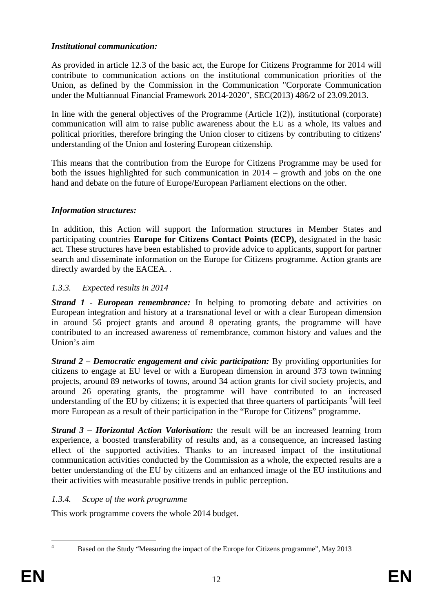## *Institutional communication:*

As provided in article 12.3 of the basic act, the Europe for Citizens Programme for 2014 will contribute to communication actions on the institutional communication priorities of the Union, as defined by the Commission in the Communication "Corporate Communication under the Multiannual Financial Framework 2014-2020", SEC(2013) 486/2 of 23.09.2013.

In line with the general objectives of the Programme (Article  $1(2)$ ), institutional (corporate) communication will aim to raise public awareness about the EU as a whole, its values and political priorities, therefore bringing the Union closer to citizens by contributing to citizens' understanding of the Union and fostering European citizenship.

This means that the contribution from the Europe for Citizens Programme may be used for both the issues highlighted for such communication in 2014 – growth and jobs on the one hand and debate on the future of Europe/European Parliament elections on the other.

## *Information structures:*

In addition, this Action will support the Information structures in Member States and participating countries **Europe for Citizens Contact Points (ECP),** designated in the basic act. These structures have been established to provide advice to applicants, support for partner search and disseminate information on the Europe for Citizens programme. Action grants are directly awarded by the EACEA. .

## <span id="page-11-0"></span>*1.3.3. Expected results in 2014*

*Strand 1 - European remembrance:* In helping to promoting debate and activities on European integration and history at a transnational level or with a clear European dimension in around 56 project grants and around 8 operating grants, the programme will have contributed to an increased awareness of remembrance, common history and values and the Union's aim

*Strand 2 – Democratic engagement and civic participation:* By providing opportunities for citizens to engage at EU level or with a European dimension in around 373 town twinning projects, around 89 networks of towns, around 34 action grants for civil society projects, and around 26 operating grants, the programme will have contributed to an increased understanding of the EU by citizens; it is expected that three quarters of participants  $4$ will feel more European as a result of their participation in the "Europe for Citizens" programme.

*Strand 3 – Horizontal Action Valorisation:* the result will be an increased learning from experience, a boosted transferability of results and, as a consequence, an increased lasting effect of the supported activities. Thanks to an increased impact of the institutional communication activities conducted by the Commission as a whole, the expected results are a better understanding of the EU by citizens and an enhanced image of the EU institutions and their activities with measurable positive trends in public perception.

## <span id="page-11-1"></span>*1.3.4. Scope of the work programme*

This work programme covers the whole 2014 budget.

 $\frac{1}{4}$ 

Based on the Study "Measuring the impact of the Europe for Citizens programme", May 2013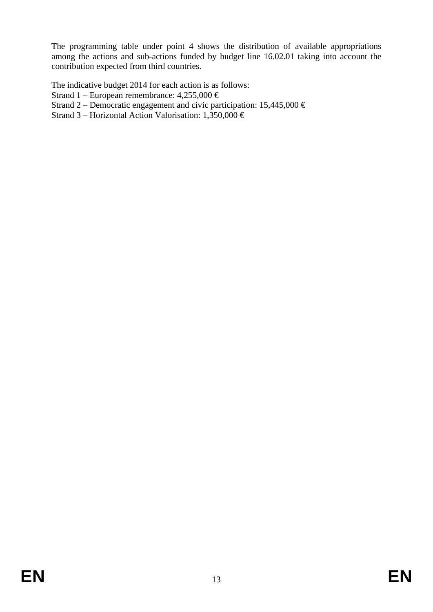The programming table under point 4 shows the distribution of available appropriations among the actions and sub-actions funded by budget line 16.02.01 taking into account the contribution expected from third countries.

The indicative budget 2014 for each action is as follows:

- Strand 1 European remembrance:  $4,255,000 \in$
- Strand 2 Democratic engagement and civic participation:  $15,445,000 \in$
- Strand 3 Horizontal Action Valorisation: 1,350,000  $\in$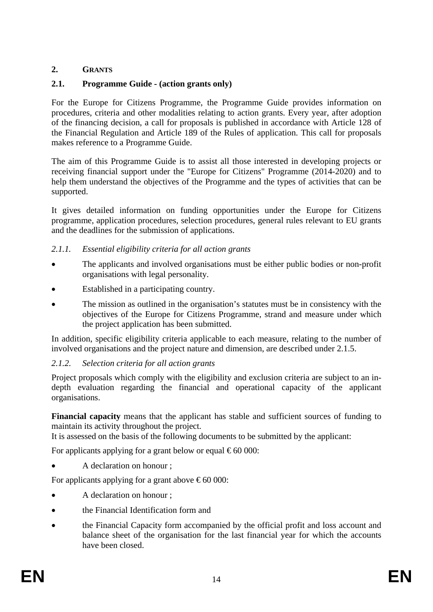## <span id="page-13-0"></span>**2. GRANTS**

## <span id="page-13-1"></span>**2.1. Programme Guide - (action grants only)**

For the Europe for Citizens Programme, the Programme Guide provides information on procedures, criteria and other modalities relating to action grants. Every year, after adoption of the financing decision, a call for proposals is published in accordance with Article 128 of the Financial Regulation and Article 189 of the Rules of application. This call for proposals makes reference to a Programme Guide.

The aim of this Programme Guide is to assist all those interested in developing projects or receiving financial support under the "Europe for Citizens" Programme (2014-2020) and to help them understand the objectives of the Programme and the types of activities that can be supported.

It gives detailed information on funding opportunities under the Europe for Citizens programme, application procedures, selection procedures, general rules relevant to EU grants and the deadlines for the submission of applications.

## <span id="page-13-2"></span>*2.1.1. Essential eligibility criteria for all action grants*

- The applicants and involved organisations must be either public bodies or non-profit organisations with legal personality.
- Established in a participating country.
- The mission as outlined in the organisation's statutes must be in consistency with the objectives of the Europe for Citizens Programme, strand and measure under which the project application has been submitted.

In addition, specific eligibility criteria applicable to each measure, relating to the number of involved organisations and the project nature and dimension, are described under 2.1.5.

## <span id="page-13-3"></span>*2.1.2. Selection criteria for all action grants*

Project proposals which comply with the eligibility and exclusion criteria are subject to an indepth evaluation regarding the financial and operational capacity of the applicant organisations.

**Financial capacity** means that the applicant has stable and sufficient sources of funding to maintain its activity throughout the project.

It is assessed on the basis of the following documents to be submitted by the applicant:

For applicants applying for a grant below or equal  $\epsilon$  60 000:

• A declaration on honour ;

For applicants applying for a grant above  $\epsilon$ 60 000:

- A declaration on honour ;
- the Financial Identification form and
- the Financial Capacity form accompanied by the official profit and loss account and balance sheet of the organisation for the last financial year for which the accounts have been closed.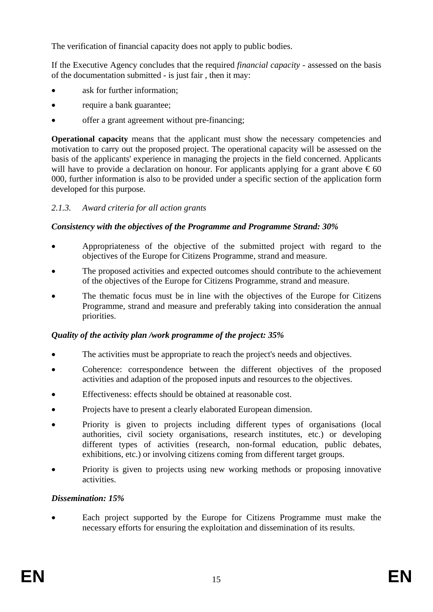The verification of financial capacity does not apply to public bodies.

If the Executive Agency concludes that the required *financial capacity* - assessed on the basis of the documentation submitted - is just fair , then it may:

- ask for further information;
- require a bank guarantee;
- offer a grant agreement without pre-financing;

**Operational capacity** means that the applicant must show the necessary competencies and motivation to carry out the proposed project. The operational capacity will be assessed on the basis of the applicants' experience in managing the projects in the field concerned. Applicants will have to provide a declaration on honour. For applicants applying for a grant above  $\epsilon$ 60 000, further information is also to be provided under a specific section of the application form developed for this purpose.

## <span id="page-14-0"></span>*2.1.3. Award criteria for all action grants*

## *Consistency with the objectives of the Programme and Programme Strand: 30%*

- Appropriateness of the objective of the submitted project with regard to the objectives of the Europe for Citizens Programme, strand and measure.
- The proposed activities and expected outcomes should contribute to the achievement of the objectives of the Europe for Citizens Programme, strand and measure.
- The thematic focus must be in line with the objectives of the Europe for Citizens Programme, strand and measure and preferably taking into consideration the annual priorities.

## *Quality of the activity plan /work programme of the project: 35%*

- The activities must be appropriate to reach the project's needs and objectives.
- Coherence: correspondence between the different objectives of the proposed activities and adaption of the proposed inputs and resources to the objectives.
- Effectiveness: effects should be obtained at reasonable cost.
- Projects have to present a clearly elaborated European dimension.
- Priority is given to projects including different types of organisations (local authorities, civil society organisations, research institutes, etc.) or developing different types of activities (research, non-formal education, public debates, exhibitions, etc.) or involving citizens coming from different target groups.
- Priority is given to projects using new working methods or proposing innovative activities.

## *Dissemination: 15%*

Each project supported by the Europe for Citizens Programme must make the necessary efforts for ensuring the exploitation and dissemination of its results.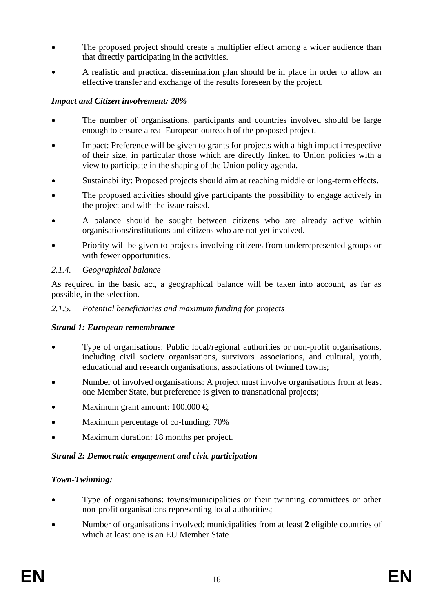- The proposed project should create a multiplier effect among a wider audience than that directly participating in the activities.
- A realistic and practical dissemination plan should be in place in order to allow an effective transfer and exchange of the results foreseen by the project.

## *Impact and Citizen involvement: 20%*

- The number of organisations, participants and countries involved should be large enough to ensure a real European outreach of the proposed project.
- Impact: Preference will be given to grants for projects with a high impact irrespective of their size, in particular those which are directly linked to Union policies with a view to participate in the shaping of the Union policy agenda.
- Sustainability: Proposed projects should aim at reaching middle or long-term effects.
- The proposed activities should give participants the possibility to engage actively in the project and with the issue raised.
- A balance should be sought between citizens who are already active within organisations/institutions and citizens who are not yet involved.
- Priority will be given to projects involving citizens from underrepresented groups or with fewer opportunities.

## <span id="page-15-0"></span>*2.1.4. Geographical balance*

As required in the basic act, a geographical balance will be taken into account, as far as possible, in the selection.

## <span id="page-15-1"></span>*2.1.5. Potential beneficiaries and maximum funding for projects*

## *Strand 1: European remembrance*

- Type of organisations: Public local/regional authorities or non-profit organisations, including civil society organisations, survivors' associations, and cultural, youth, educational and research organisations, associations of twinned towns;
- Number of involved organisations: A project must involve organisations from at least one Member State, but preference is given to transnational projects;
- Maximum grant amount:  $100.000 \in$
- Maximum percentage of co-funding: 70%
- Maximum duration: 18 months per project.

## *Strand 2: Democratic engagement and civic participation*

## *Town-Twinning:*

- Type of organisations: towns/municipalities or their twinning committees or other non-profit organisations representing local authorities;
- Number of organisations involved: municipalities from at least **2** eligible countries of which at least one is an EU Member State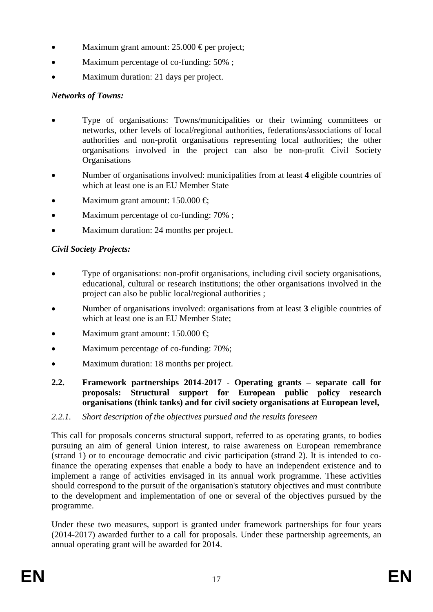- Maximum grant amount:  $25.000 \text{ Eper project}$ ;
- Maximum percentage of co-funding:  $50\%$ ;
- Maximum duration: 21 days per project.

## *Networks of Towns:*

- Type of organisations: Towns/municipalities or their twinning committees or networks, other levels of local/regional authorities, federations/associations of local authorities and non-profit organisations representing local authorities; the other organisations involved in the project can also be non-profit Civil Society **Organisations**
- Number of organisations involved: municipalities from at least **4** eligible countries of which at least one is an EU Member State
- Maximum grant amount:  $150.000 \in$
- Maximum percentage of co-funding: 70% ;
- Maximum duration: 24 months per project.

## *Civil Society Projects:*

- Type of organisations: non-profit organisations, including civil society organisations, educational, cultural or research institutions; the other organisations involved in the project can also be public local/regional authorities ;
- Number of organisations involved: organisations from at least **3** eligible countries of which at least one is an EU Member State;
- Maximum grant amount:  $150.000 \in$
- Maximum percentage of co-funding: 70%;
- Maximum duration: 18 months per project.
- <span id="page-16-0"></span>**2.2. Framework partnerships 2014-2017 - Operating grants – separate call for proposals: Structural support for European public policy research organisations (think tanks) and for civil society organisations at European level,**
- <span id="page-16-1"></span>*2.2.1. Short description of the objectives pursued and the results foreseen*

This call for proposals concerns structural support, referred to as operating grants, to bodies pursuing an aim of general Union interest, to raise awareness on European remembrance (strand 1) or to encourage democratic and civic participation (strand 2). It is intended to cofinance the operating expenses that enable a body to have an independent existence and to implement a range of activities envisaged in its annual work programme. These activities should correspond to the pursuit of the organisation's statutory objectives and must contribute to the development and implementation of one or several of the objectives pursued by the programme.

Under these two measures, support is granted under framework partnerships for four years (2014-2017) awarded further to a call for proposals. Under these partnership agreements, an annual operating grant will be awarded for 2014.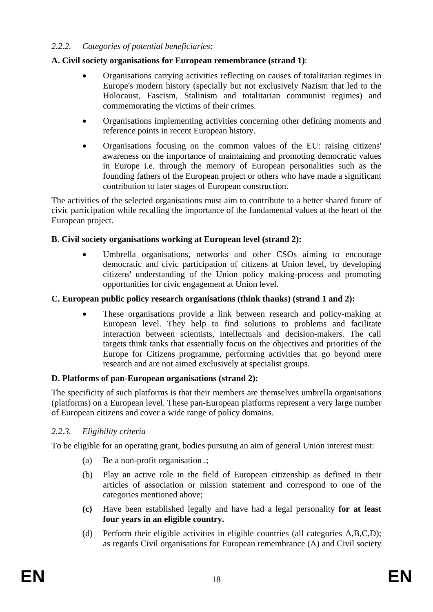## <span id="page-17-0"></span>*2.2.2. Categories of potential beneficiaries:*

#### **A. Civil society organisations for European remembrance (strand 1)**:

- Organisations carrying activities reflecting on causes of totalitarian regimes in Europe's modern history (specially but not exclusively Nazism that led to the Holocaust, Fascism, Stalinism and totalitarian communist regimes) and commemorating the victims of their crimes.
- Organisations implementing activities concerning other defining moments and reference points in recent European history.
- Organisations focusing on the common values of the EU: raising citizens' awareness on the importance of maintaining and promoting democratic values in Europe i.e. through the memory of European personalities such as the founding fathers of the European project or others who have made a significant contribution to later stages of European construction.

The activities of the selected organisations must aim to contribute to a better shared future of civic participation while recalling the importance of the fundamental values at the heart of the European project.

#### **B. Civil society organisations working at European level (strand 2):**

Umbrella organisations, networks and other CSOs aiming to encourage democratic and civic participation of citizens at Union level, by developing citizens' understanding of the Union policy making-process and promoting opportunities for civic engagement at Union level.

#### **C. European public policy research organisations (think thanks) (strand 1 and 2):**

• These organisations provide a link between research and policy-making at European level. They help to find solutions to problems and facilitate interaction between scientists, intellectuals and decision-makers. The call targets think tanks that essentially focus on the objectives and priorities of the Europe for Citizens programme, performing activities that go beyond mere research and are not aimed exclusively at specialist groups.

#### **D. Platforms of pan-European organisations (strand 2):**

The specificity of such platforms is that their members are themselves umbrella organisations (platforms) on a European level. These pan-European platforms represent a very large number of European citizens and cover a wide range of policy domains.

#### <span id="page-17-1"></span>*2.2.3. Eligibility criteria*

To be eligible for an operating grant, bodies pursuing an aim of general Union interest must:

- (a) Be a non-profit organisation .;
- (b) Play an active role in the field of European citizenship as defined in their articles of association or mission statement and correspond to one of the categories mentioned above;
- **(c)** Have been established legally and have had a legal personality **for at least four years in an eligible country.**
- (d) Perform their eligible activities in eligible countries (all categories A,B,C,D); as regards Civil organisations for European remembrance (A) and Civil society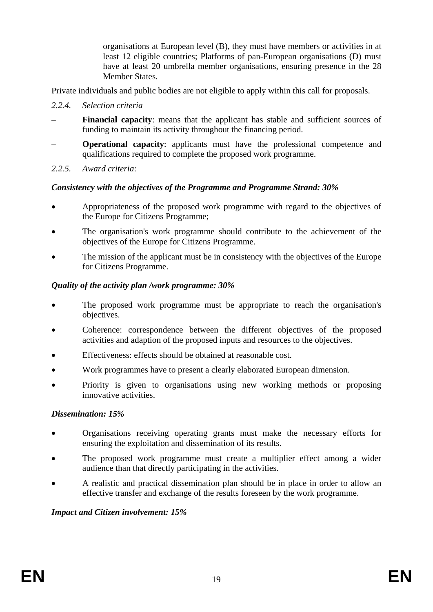organisations at European level (B), they must have members or activities in at least 12 eligible countries; Platforms of pan-European organisations (D) must have at least 20 umbrella member organisations, ensuring presence in the 28 Member States.

Private individuals and public bodies are not eligible to apply within this call for proposals.

- <span id="page-18-0"></span>*2.2.4. Selection criteria*
- **Financial capacity**: means that the applicant has stable and sufficient sources of funding to maintain its activity throughout the financing period.
- **Operational capacity**: applicants must have the professional competence and qualifications required to complete the proposed work programme.
- <span id="page-18-1"></span>*2.2.5. Award criteria:*

#### *Consistency with the objectives of the Programme and Programme Strand: 30%*

- Appropriateness of the proposed work programme with regard to the objectives of the Europe for Citizens Programme;
- The organisation's work programme should contribute to the achievement of the objectives of the Europe for Citizens Programme.
- The mission of the applicant must be in consistency with the objectives of the Europe for Citizens Programme.

#### *Quality of the activity plan /work programme: 30%*

- The proposed work programme must be appropriate to reach the organisation's objectives.
- Coherence: correspondence between the different objectives of the proposed activities and adaption of the proposed inputs and resources to the objectives.
- Effectiveness: effects should be obtained at reasonable cost.
- Work programmes have to present a clearly elaborated European dimension.
- Priority is given to organisations using new working methods or proposing innovative activities.

#### *Dissemination: 15%*

- Organisations receiving operating grants must make the necessary efforts for ensuring the exploitation and dissemination of its results.
- The proposed work programme must create a multiplier effect among a wider audience than that directly participating in the activities.
- A realistic and practical dissemination plan should be in place in order to allow an effective transfer and exchange of the results foreseen by the work programme.

#### *Impact and Citizen involvement: 15%*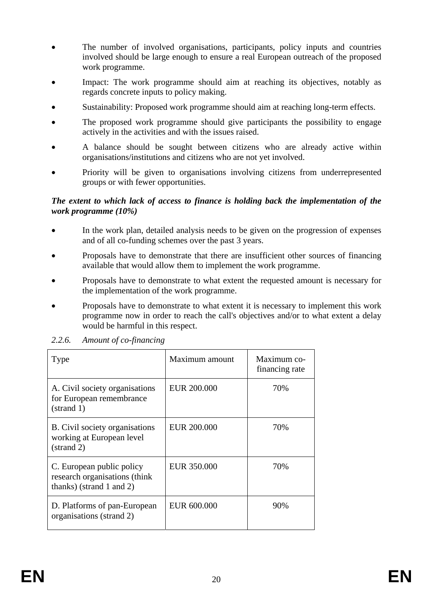- The number of involved organisations, participants, policy inputs and countries involved should be large enough to ensure a real European outreach of the proposed work programme.
- Impact: The work programme should aim at reaching its objectives, notably as regards concrete inputs to policy making.
- Sustainability: Proposed work programme should aim at reaching long-term effects.
- The proposed work programme should give participants the possibility to engage actively in the activities and with the issues raised.
- A balance should be sought between citizens who are already active within organisations/institutions and citizens who are not yet involved.
- Priority will be given to organisations involving citizens from underrepresented groups or with fewer opportunities.

#### *The extent to which lack of access to finance is holding back the implementation of the work programme (10%)*

- In the work plan, detailed analysis needs to be given on the progression of expenses and of all co-funding schemes over the past 3 years.
- Proposals have to demonstrate that there are insufficient other sources of financing available that would allow them to implement the work programme.
- Proposals have to demonstrate to what extent the requested amount is necessary for the implementation of the work programme.
- Proposals have to demonstrate to what extent it is necessary to implement this work programme now in order to reach the call's objectives and/or to what extent a delay would be harmful in this respect.

| Type                                                                                             | Maximum amount     | Maximum co-<br>financing rate |  |
|--------------------------------------------------------------------------------------------------|--------------------|-------------------------------|--|
| A. Civil society organisations<br>for European remembrance<br>(strand 1)                         | <b>EUR 200.000</b> | 70%                           |  |
| B. Civil society organisations<br>working at European level<br>$\:arctan(2)$                     | <b>EUR 200.000</b> | 70%                           |  |
| C. European public policy<br>research organisations (think)<br>${\rm thanks}$ ) (strand 1 and 2) | EUR 350.000        | 70%                           |  |
| D. Platforms of pan-European<br>organisations (strand 2)                                         | EUR 600.000        | 90%                           |  |

<span id="page-19-0"></span>*2.2.6. Amount of co-financing*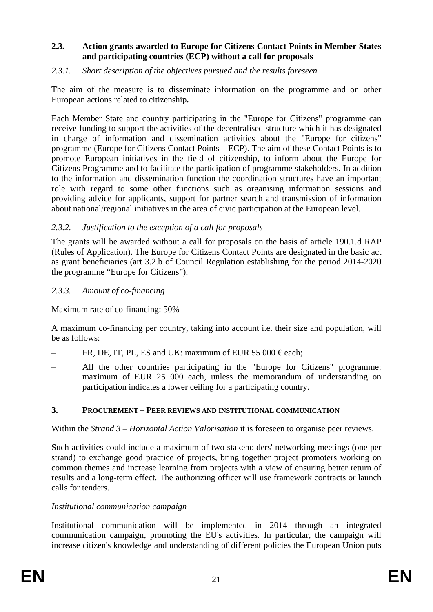#### <span id="page-20-0"></span>**2.3. Action grants awarded to Europe for Citizens Contact Points in Member States and participating countries (ECP) without a call for proposals**

#### <span id="page-20-1"></span>*2.3.1. Short description of the objectives pursued and the results foreseen*

The aim of the measure is to disseminate information on the programme and on other European actions related to citizenship**.** 

Each Member State and country participating in the "Europe for Citizens" programme can receive funding to support the activities of the decentralised structure which it has designated in charge of information and dissemination activities about the "Europe for citizens" programme (Europe for Citizens Contact Points – ECP). The aim of these Contact Points is to promote European initiatives in the field of citizenship, to inform about the Europe for Citizens Programme and to facilitate the participation of programme stakeholders. In addition to the information and dissemination function the coordination structures have an important role with regard to some other functions such as organising information sessions and providing advice for applicants, support for partner search and transmission of information about national/regional initiatives in the area of civic participation at the European level.

#### <span id="page-20-2"></span>*2.3.2. Justification to the exception of a call for proposals*

The grants will be awarded without a call for proposals on the basis of article 190.1.d RAP (Rules of Application). The Europe for Citizens Contact Points are designated in the basic act as grant beneficiaries (art 3.2.b of Council Regulation establishing for the period 2014-2020 the programme "Europe for Citizens").

#### <span id="page-20-3"></span>*2.3.3. Amount of co-financing*

Maximum rate of co-financing: 50%

A maximum co-financing per country, taking into account i.e. their size and population, will be as follows:

- FR, DE, IT, PL, ES and UK: maximum of EUR 55 000  $\epsilon$ each;
- All the other countries participating in the "Europe for Citizens" programme: maximum of EUR 25 000 each, unless the memorandum of understanding on participation indicates a lower ceiling for a participating country.

#### <span id="page-20-4"></span>**3. PROCUREMENT – PEER REVIEWS AND INSTITUTIONAL COMMUNICATION**

Within the *Strand 3 – Horizontal Action Valorisation* it is foreseen to organise peer reviews.

Such activities could include a maximum of two stakeholders' networking meetings (one per strand) to exchange good practice of projects, bring together project promoters working on common themes and increase learning from projects with a view of ensuring better return of results and a long-term effect. The authorizing officer will use framework contracts or launch calls for tenders.

#### *Institutional communication campaign*

Institutional communication will be implemented in 2014 through an integrated communication campaign, promoting the EU's activities. In particular, the campaign will increase citizen's knowledge and understanding of different policies the European Union puts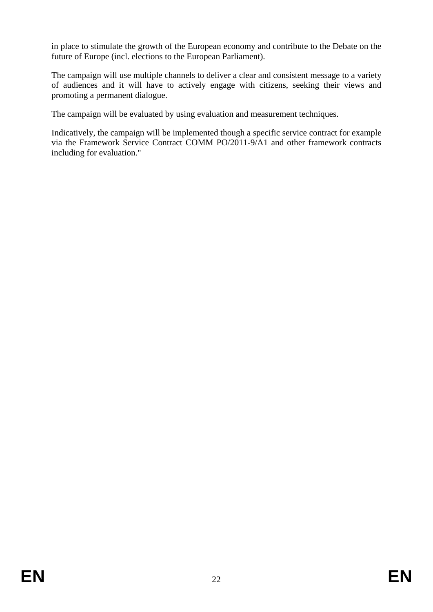in place to stimulate the growth of the European economy and contribute to the Debate on the future of Europe (incl. elections to the European Parliament).

The campaign will use multiple channels to deliver a clear and consistent message to a variety of audiences and it will have to actively engage with citizens, seeking their views and promoting a permanent dialogue.

The campaign will be evaluated by using evaluation and measurement techniques.

Indicatively, the campaign will be implemented though a specific service contract for example via the Framework Service Contract COMM PO/2011-9/A1 and other framework contracts including for evaluation."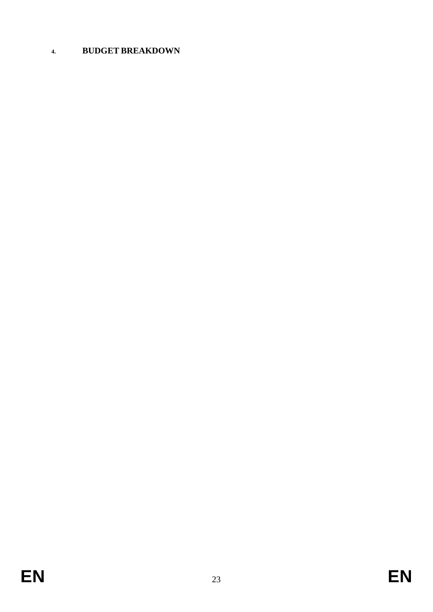# <span id="page-22-0"></span>**4. BUDGET BREAKDOWN**